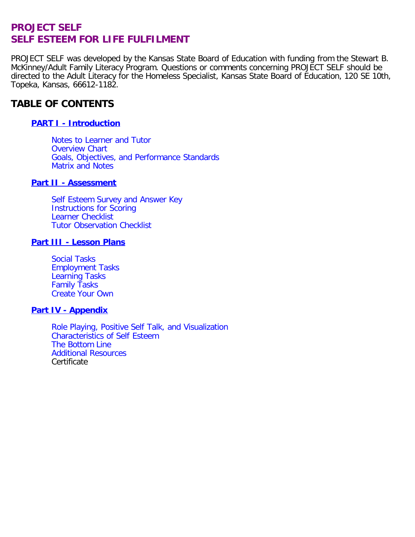# **PROJECT SELF SELF ESTEEM FOR LIFE FULFILMENT**

PROJECT SELF was developed by the Kansas State Board of Education with funding from the Stewart B. McKinney/Adult Family Literacy Program. Questions or comments concerning PROJECT SELF should be directed to the Adult Literacy for the Homeless Specialist, Kansas State Board of Education, 120 SE 10th, Topeka, Kansas, 66612-1182.

# **TABLE OF CONTENTS**

## **[PART I - Introduction](#page-1-0)**

[Notes to Learner and Tutor](#page-1-1)  [Overview Chart](#page-1-1)  [Goals, Objectives, and Performance Standards](#page-1-1)  [Matrix and Notes](#page-2-0)

#### **[Part II - Assessment](#page-4-0)**

[Self Esteem Survey and Answer Key](#page-4-1)  [Instructions for Scoring](#page-5-0)  [Learner Checklist](#page-6-0)  [Tutor Observation Checklist](#page-7-0)

#### **[Part III - Lesson Plans](#page-9-0)**

[Social Tasks](#page-9-1)  [Employment Tasks](#page-12-0)  [Learning Tasks](#page-15-0)  [Family Tasks](#page-18-0)  [Create Your Own](#page-21-0)

#### **[Part IV - Appendix](#page-24-0)**

[Role Playing, Positive Self Talk, and Visualization](#page-24-1)  [Characteristics of Self Esteem](#page-25-0)  [The Bottom Line](#page-26-0)  [Additional Resources](#page-27-0)  **Certificate**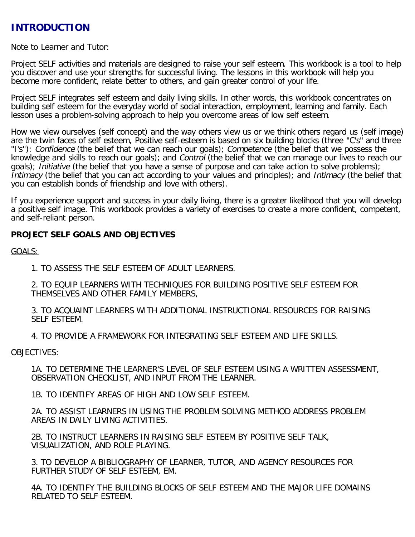# <span id="page-1-1"></span><span id="page-1-0"></span>**INTRODUCTION**

Note to Learner and Tutor:

Project SELF activities and materials are designed to raise your self esteem. This workbook is a tool to help you discover and use your strengths for successful living. The lessons in this workbook will help you become more confident, relate better to others, and gain greater control of your life.

Project SELF integrates self esteem and daily living skills. In other words, this workbook concentrates on building self esteem for the everyday world of social interaction, employment, learning and family. Each lesson uses a problem-solving approach to help you overcome areas of low self esteem.

How we view ourselves (self concept) and the way others view us or we think others regard us (self image) are the twin faces of self esteem, Positive self-esteem is based on six building blocks (three "C's" and three "I's"): Confidence (the belief that we can reach our goals); Competence (the belief that we possess the knowledge and skills to reach our goals); and Control (the belief that we can manage our lives to reach our goals); Initiative (the belief that you have a sense of purpose and can take action to solve problems); Intimacy (the belief that you can act according to your values and principles); and Intimacy (the belief that you can establish bonds of friendship and love with others).

If you experience support and success in your daily living, there is a greater likelihood that you will develop a positive self image. This workbook provides a variety of exercises to create a more confident, competent, and self-reliant person.

### **PROJECT SELF GOALS AND OBJECTIVES**

GOALS:

1. TO ASSESS THE SELF ESTEEM OF ADULT LEARNERS.

2. TO EQUIP LEARNERS WITH TECHNIQUES FOR BUILDING POSITIVE SELF ESTEEM FOR THEMSELVES AND OTHER FAMILY MEMBERS,

3. TO ACQUAINT LEARNERS WITH ADDITIONAL INSTRUCTIONAL RESOURCES FOR RAISING SELF ESTEEM.

4. TO PROVIDE A FRAMEWORK FOR INTEGRATING SELF ESTEEM AND LIFE SKILLS.

#### OBJECTIVES:

1A. TO DETERMINE THE LEARNER'S LEVEL OF SELF ESTEEM USING A WRITTEN ASSESSMENT, OBSERVATION CHECKLIST, AND INPUT FROM THE LEARNER.

1B. TO IDENTIFY AREAS OF HIGH AND LOW SELF ESTEEM.

2A. TO ASSIST LEARNERS IN USING THE PROBLEM SOLVING METHOD ADDRESS PROBLEM AREAS IN DAILY LIVING ACTIVITIES.

2B. TO INSTRUCT LEARNERS IN RAISING SELF ESTEEM BY POSITIVE SELF TALK, VISUALIZATION, AND ROLE PLAYING.

3. TO DEVELOP A BIBLIOGRAPHY OF LEARNER, TUTOR, AND AGENCY RESOURCES FOR FURTHER STUDY OF SELF ESTEEM, EM.

4A. TO IDENTIFY THE BUILDING BLOCKS OF SELF ESTEEM AND THE MAJOR LIFE DOMAINS RELATED TO SELF ESTEEM.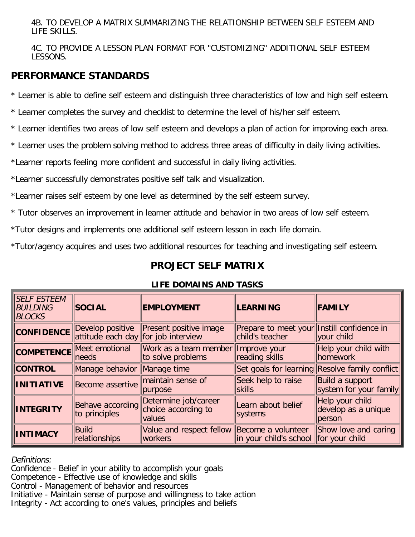<span id="page-2-0"></span>4B. TO DEVELOP A MATRIX SUMMARIZING THE RELATIONSHIP BETWEEN SELF ESTEEM AND LIFE SKILLS.

4C. TO PROVIDE A LESSON PLAN FORMAT FOR "CUSTOMIZING" ADDITIONAL SELF ESTEEM LESSONS.

# **PERFORMANCE STANDARDS**

\* Learner is able to define self esteem and distinguish three characteristics of low and high self esteem.

\* Learner completes the survey and checklist to determine the level of his/her self esteem.

- \* Learner identifies two areas of low self esteem and develops a plan of action for improving each area.
- \* Learner uses the problem solving method to address three areas of difficulty in daily living activities.

\*Learner reports feeling more confident and successful in daily living activities.

\*Learner successfully demonstrates positive self talk and visualization.

\*Learner raises self esteem by one level as determined by the self esteem survey.

\* Tutor observes an improvement in learner attitude and behavior in two areas of low self esteem.

\*Tutor designs and implements one additional self esteem lesson in each life domain.

\*Tutor/agency acquires and uses two additional resources for teaching and investigating self esteem.

# **PROJECT SELF MATRIX**

| <b>SELF ESTEEM</b><br>BUILDING<br><b>BLOCKS</b> | <b>SOCIAL</b>                                           | <b>EMPLOYMENT</b>                                      | <b>LEARNING</b>                                               | <b>FAMILY</b>                                    |
|-------------------------------------------------|---------------------------------------------------------|--------------------------------------------------------|---------------------------------------------------------------|--------------------------------------------------|
| <b>CONFIDENCE</b>                               | Develop positive<br>attitude each day for job interview | Present positive image                                 | Prepare to meet your Instill confidence in<br>child's teacher | your child                                       |
|                                                 | <b>COMPETENCE</b> Meet emotional<br>needs               | Work as a team member<br>to solve problems             | Improve your<br>reading skills                                | Help your child with<br><b>homework</b>          |
| <b>CONTROL</b>                                  | Manage behavior Manage time                             |                                                        |                                                               | Set goals for learning Resolve family conflict   |
| <b>INITIATIVE</b>                               | Become assertive                                        | maintain sense of<br>purpose                           | Seek help to raise<br><b>skills</b>                           | Build a support<br>system for your family        |
| <b>INTEGRITY</b>                                | Behave according<br>to principles                       | Determine job/career<br>choice according to<br>values  | Learn about belief<br>systems                                 | Help your child<br>develop as a unique<br>person |
| <b>INTIMACY</b>                                 | Build<br>relationships                                  | Value and respect fellow Become a volunteer<br>workers | in your child's school for your child                         | Show love and caring                             |

## **LIFE DOMAINS AND TASKS**

Definitions:

Confidence - Belief in your ability to accomplish your goals Competence - Effective use of knowledge and skills Control - Management of behavior and resources Initiative - Maintain sense of purpose and willingness to take action Integrity - Act according to one's values, principles and beliefs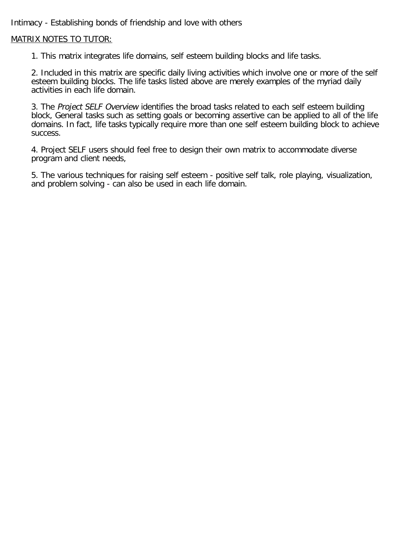Intimacy - Establishing bonds of friendship and love with others

## MATRIX NOTES TO TUTOR:

1. This matrix integrates life domains, self esteem building blocks and life tasks.

2. Included in this matrix are specific daily living activities which involve one or more of the self esteem building blocks. The life tasks listed above are merely examples of the myriad daily activities in each life domain.

3. The Project SELF Overview identifies the broad tasks related to each self esteem building block, General tasks such as setting goals or becoming assertive can be applied to all of the life domains. In fact, life tasks typically require more than one self esteem building block to achieve success.

4. Project SELF users should feel free to design their own matrix to accommodate diverse program and client needs,

5. The various techniques for raising self esteem - positive self talk, role playing, visualization, and problem solving - can also be used in each life domain.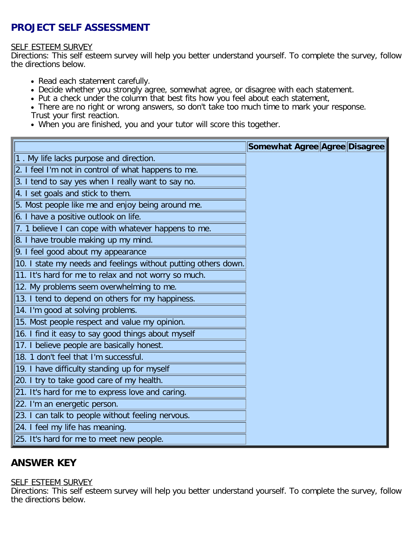# <span id="page-4-1"></span><span id="page-4-0"></span>**PROJECT SELF ASSESSMENT**

#### SELF ESTEEM SURVEY

Directions: This self esteem survey will help you better understand yourself. To complete the survey, follow the directions below.

- Read each statement carefully.
- Decide whether you strongly agree, somewhat agree, or disagree with each statement.
- Put a check under the column that best fits how you feel about each statement,
- There are no right or wrong answers, so don't take too much time to mark your response. Trust your first reaction.
- When you are finished, you and your tutor will score this together.

|                                                                | Somewhat Agree Agree Disagree |  |  |
|----------------------------------------------------------------|-------------------------------|--|--|
| 1. My life lacks purpose and direction.                        |                               |  |  |
| 2. I feel I'm not in control of what happens to me.            |                               |  |  |
| 3. I tend to say yes when I really want to say no.             |                               |  |  |
| 4. I set goals and stick to them.                              |                               |  |  |
| 5. Most people like me and enjoy being around me.              |                               |  |  |
| 6. I have a positive outlook on life.                          |                               |  |  |
| 7. 1 believe I can cope with whatever happens to me.           |                               |  |  |
| 8. I have trouble making up my mind.                           |                               |  |  |
| 9. I feel good about my appearance                             |                               |  |  |
| 10. I state my needs and feelings without putting others down. |                               |  |  |
| 11. It's hard for me to relax and not worry so much.           |                               |  |  |
| 12. My problems seem overwhelming to me.                       |                               |  |  |
| 13. I tend to depend on others for my happiness.               |                               |  |  |
| 14. I'm good at solving problems.                              |                               |  |  |
| 15. Most people respect and value my opinion.                  |                               |  |  |
| 16. I find it easy to say good things about myself             |                               |  |  |
| 17. I believe people are basically honest.                     |                               |  |  |
| 18. 1 don't feel that I'm successful.                          |                               |  |  |
| 19. I have difficulty standing up for myself                   |                               |  |  |
| 20. I try to take good care of my health.                      |                               |  |  |
| 21. It's hard for me to express love and caring.               |                               |  |  |
| 22. I'm an energetic person.                                   |                               |  |  |
| 23. I can talk to people without feeling nervous.              |                               |  |  |
| 24. I feel my life has meaning.                                |                               |  |  |
| 25. It's hard for me to meet new people.                       |                               |  |  |

# **ANSWER KEY**

#### **SELF ESTEEM SURVEY**

Directions: This self esteem survey will help you better understand yourself. To complete the survey, follow the directions below.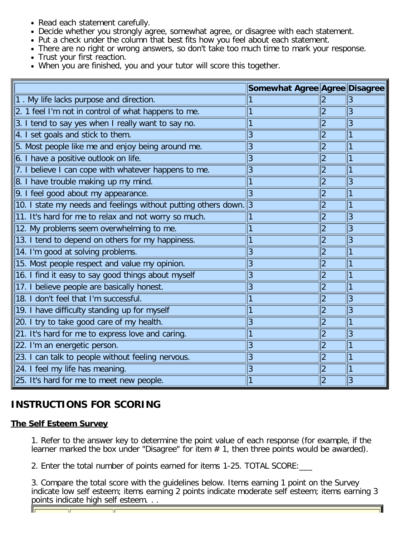- <span id="page-5-0"></span>• Read each statement carefully.
- Decide whether you strongly agree, somewhat agree, or disagree with each statement.
- Put a check under the column that best fits how you feel about each statement.
- There are no right or wrong answers, so don't take too much time to mark your response.
- Trust your first reaction.
- When you are finished, you and your tutor will score this together.

|                                                                          | Somewhat Agree Agree Disagree |                |   |
|--------------------------------------------------------------------------|-------------------------------|----------------|---|
| $ 1$ . My life lacks purpose and direction.                              |                               |                | 3 |
| 2. 1 feel I'm not in control of what happens to me.                      |                               | $\overline{2}$ | 3 |
| 3. I tend to say yes when I really want to say no.                       |                               | 2              | 3 |
| 4. I set goals and stick to them.                                        | 3                             | 2              |   |
| 5. Most people like me and enjoy being around me.                        | 3                             | $ 2\>$         |   |
| 6. I have a positive outlook on life.                                    | 3                             | $\overline{2}$ |   |
| 7. I believe I can cope with whatever happens to me.                     | 3                             | 2              |   |
| 8. I have trouble making up my mind.                                     |                               | 2              | 3 |
| 9. I feel good about my appearance.                                      | 3                             | 2              |   |
| 10. I state my needs and feelings without putting others down. $\vert$ 3 |                               | $ 2\>$         |   |
| 11. It's hard for me to relax and not worry so much.                     |                               | $\overline{2}$ | 3 |
| 12. My problems seem overwhelming to me.                                 |                               | $\overline{2}$ | 3 |
| 13. I tend to depend on others for my happiness.                         |                               | $\overline{2}$ | 3 |
| 14. I'm good at solving problems.                                        | 3                             | $\overline{2}$ |   |
| 15. Most people respect and value my opinion.                            | 3                             | 2              |   |
| 16. I find it easy to say good things about myself                       | $\overline{3}$                | $ 2\>$         |   |
| 17. I believe people are basically honest.                               | 3                             | $ 2\rangle$    |   |
| 18. I don't feel that I'm successful.                                    |                               | $ 2\rangle$    | 3 |
| 19. I have difficulty standing up for myself                             |                               | $ 2\rangle$    | 3 |
| 20. I try to take good care of my health.                                | 3                             | $\overline{2}$ |   |
| 21. It's hard for me to express love and caring.                         |                               | $\overline{2}$ | 3 |
| 22. I'm an energetic person.                                             | 3                             | 2              |   |
| 23. I can talk to people without feeling nervous.                        | 3                             | $ 2\rangle$    |   |
| 24. I feel my life has meaning.                                          | 3                             | 2              |   |
| 25. It's hard for me to meet new people.                                 |                               | 2              | 3 |

# **INSTRUCTIONS FOR SCORING**

# **The Self Esteem Survey**

1. Refer to the answer key to determine the point value of each response (for example, if the learner marked the box under "Disagree" for item  $# 1$ , then three points would be awarded).

2. Enter the total number of points earned for items 1-25. TOTAL SCORE:\_\_\_

3. Compare the total score with the guidelines below. Items earning 1 point on the Survey indicate low self esteem; items earning 2 points indicate moderate self esteem; items earning 3 points indicate high self esteem. . .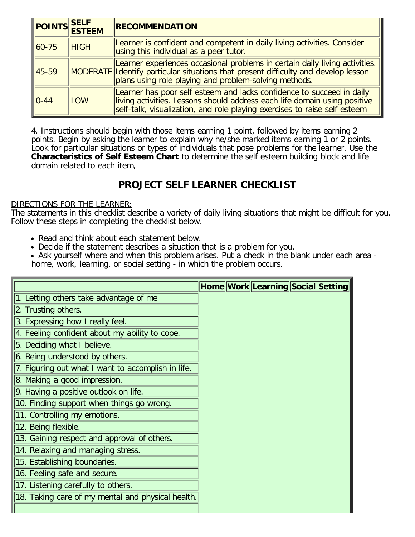<span id="page-6-0"></span>

|              | POINTS SELF | <b>RECOMMENDATION</b>                                                                                                                                                                                                           |
|--------------|-------------|---------------------------------------------------------------------------------------------------------------------------------------------------------------------------------------------------------------------------------|
| $\  60 - 75$ | <b>HIGH</b> | Learner is confident and competent in daily living activities. Consider<br>using this individual as a peer tutor.                                                                                                               |
| $ 45-59 $    |             | Learner experiences occasional problems in certain daily living activities.<br>MODERATE Identify particular situations that present difficulty and develop lesson<br>plans using role playing and problem-solving methods.      |
| $ 0 - 44 $   | <b>LOW</b>  | Learner has poor self esteem and lacks confidence to succeed in daily<br>living activities. Lessons should address each life domain using positive<br>self-talk, visualization, and role playing exercises to raise self esteem |

4. Instructions should begin with those items earning 1 point, followed by items earning 2 points. Begin by asking the learner to explain why he/she marked items earning 1 or 2 points. Look for particular situations or types of individuals that pose problems for the learner. Use the **Characteristics of Self Esteem Chart** to determine the self esteem building block and life domain related to each item,

# **PROJECT SELF LEARNER CHECKLIST**

#### DIRECTIONS FOR THE LEARNER:

The statements in this checklist describe a variety of daily living situations that might be difficult for you. Follow these steps in completing the checklist below.

- Read and think about each statement below.
- Decide if the statement describes a situation that is a problem for you.
- Ask yourself where and when this problem arises. Put a check in the blank under each area home, work, learning, or social setting - in which the problem occurs.

|                                                    | Home Work Learning Social Setting |
|----------------------------------------------------|-----------------------------------|
| 1. Letting others take advantage of me             |                                   |
| 2. Trusting others.                                |                                   |
| 3. Expressing how I really feel.                   |                                   |
| 4. Feeling confident about my ability to cope.     |                                   |
| 5. Deciding what I believe.                        |                                   |
| 6. Being understood by others.                     |                                   |
| 7. Figuring out what I want to accomplish in life. |                                   |
| 8. Making a good impression.                       |                                   |
| 9. Having a positive outlook on life.              |                                   |
| 10. Finding support when things go wrong.          |                                   |
| 11. Controlling my emotions.                       |                                   |
| 12. Being flexible.                                |                                   |
| 13. Gaining respect and approval of others.        |                                   |
| 14. Relaxing and managing stress.                  |                                   |
| 15. Establishing boundaries.                       |                                   |
| 16. Feeling safe and secure.                       |                                   |
| 17. Listening carefully to others.                 |                                   |
| 18. Taking care of my mental and physical health.  |                                   |
|                                                    |                                   |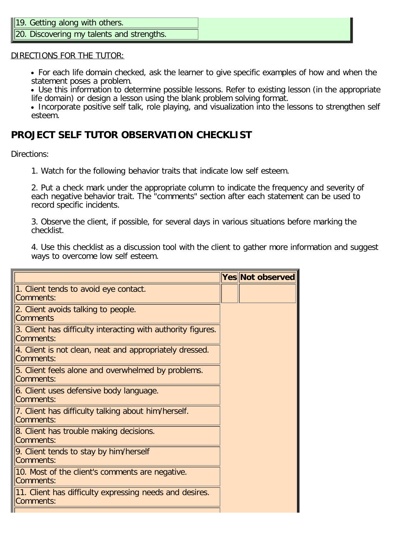### <span id="page-7-0"></span>19. Getting along with others.

20. Discovering my talents and strengths.

#### DIRECTIONS FOR THE TUTOR:

For each life domain checked, ask the learner to give specific examples of how and when the statement poses a problem.

Use this information to determine possible lessons. Refer to existing lesson (in the appropriate life domain) or design a lesson using the blank problem solving format.

• Incorporate positive self talk, role playing, and visualization into the lessons to strengthen self esteem.

# **PROJECT SELF TUTOR OBSERVATION CHECKLIST**

Directions:

1. Watch for the following behavior traits that indicate low self esteem.

2. Put a check mark under the appropriate column to indicate the frequency and severity of each negative behavior trait. The "comments" section after each statement can be used to record specific incidents.

3. Observe the client, if possible, for several days in various situations before marking the checklist.

4. Use this checklist as a discussion tool with the client to gather more information and suggest ways to overcome low self esteem.

|                                                                                  | Yes Not observed |
|----------------------------------------------------------------------------------|------------------|
| 1. Client tends to avoid eye contact.<br>Comments:                               |                  |
| 2. Client avoids talking to people.<br>Comments                                  |                  |
| 3. Client has difficulty interacting with authority figures.<br><b>Comments:</b> |                  |
| 4. Client is not clean, neat and appropriately dressed.<br>Comments:             |                  |
| 5. Client feels alone and overwhelmed by problems.<br>Comments:                  |                  |
| 6. Client uses defensive body language.<br>Comments:                             |                  |
| 7. Client has difficulty talking about him/herself.<br>Comments:                 |                  |
| 8. Client has trouble making decisions.<br>Comments:                             |                  |
| 9. Client tends to stay by him/herself<br>Comments:                              |                  |
| 10. Most of the client's comments are negative.<br>Comments:                     |                  |
| 11. Client has difficulty expressing needs and desires.<br>Comments:             |                  |
|                                                                                  |                  |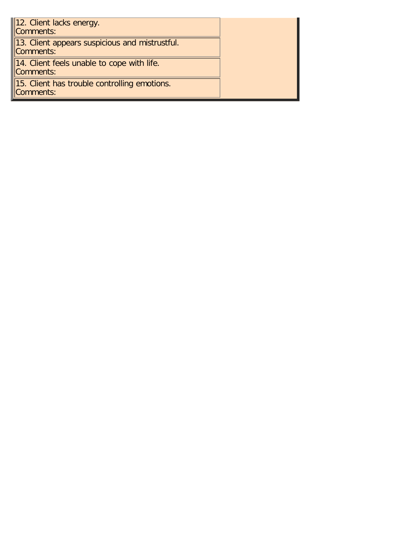| 12. Client lacks energy.<br>Comments:                       |  |
|-------------------------------------------------------------|--|
| 13. Client appears suspicious and mistrustful.<br>Comments: |  |
| 14. Client feels unable to cope with life.<br>Comments:     |  |
| 15. Client has trouble controlling emotions.<br>Comments:   |  |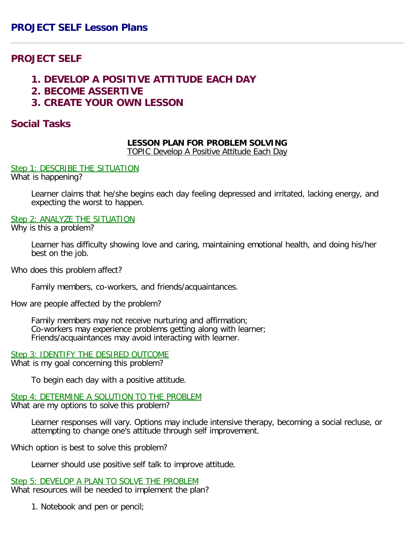# <span id="page-9-1"></span><span id="page-9-0"></span>**PROJECT SELF**

- **1. DEVELOP A POSITIVE ATTITUDE EACH DAY**
- **2. BECOME ASSERTIVE**
- **3. CREATE YOUR OWN LESSON**

## **Social Tasks**

## **LESSON PLAN FOR PROBLEM SOLVING**

TOPIC Develop A Positive Attitude Each Day

Step 1: DESCRIBE THE SITUATION

What is happening?

Learner claims that he/she begins each day feeling depressed and irritated, lacking energy, and expecting the worst to happen.

#### Step 2: ANALYZE THE SITUATION

Why is this a problem?

Learner has difficulty showing love and caring, maintaining emotional health, and doing his/her best on the job.

Who does this problem affect?

Family members, co-workers, and friends/acquaintances.

How are people affected by the problem?

Family members may not receive nurturing and affirmation; Co-workers may experience problems getting along with learner; Friends/acquaintances may avoid interacting with learner.

Step 3: IDENTIFY THE DESIRED OUTCOME What is my goal concerning this problem?

To begin each day with a positive attitude.

Step 4: DETERMINE A SOLUTION TO THE PROBLEM What are my options to solve this problem?

Learner responses will vary. Options may include intensive therapy, becoming a social recluse, or attempting to change one's attitude through self improvement.

Which option is best to solve this problem?

Learner should use positive self talk to improve attitude.

Step 5: DEVELOP A PLAN TO SOLVE THE PROBLEM What resources will be needed to implement the plan?

1. Notebook and pen or pencil;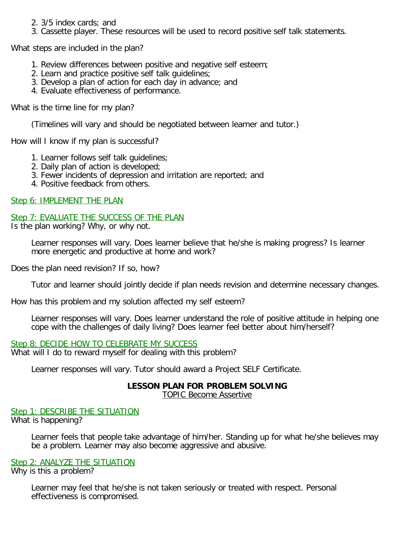- 2. 3/5 index cards; and
- 3. Cassette player. These resources will be used to record positive self talk statements.

What steps are included in the plan?

- 1. Review differences between positive and negative self esteem;
- 2. Learn and practice positive self talk guidelines;
- 3. Develop a plan of action for each day in advance; and
- 4. Evaluate effectiveness of performance.

What is the time line for my plan?

(Timelines will vary and should be negotiated between learner and tutor.)

How will I know if my plan is successful?

- 1. Learner follows self talk guidelines;
- 2. Daily plan of action is developed;
- 3. Fewer incidents of depression and irritation are reported; and
- 4. Positive feedback from others.

### Step 6: IMPLEMENT THE PLAN

Step 7: EVALUATE THE SUCCESS OF THE PLAN

Is the plan working? Why, or why not.

Learner responses will vary. Does learner believe that he/she is making progress? Is learner more energetic and productive at home and work?

Does the plan need revision? If so, how?

Tutor and learner should jointly decide if plan needs revision and determine necessary changes.

How has this problem and my solution affected my self esteem?

Learner responses will vary. Does learner understand the role of positive attitude in helping one cope with the challenges of daily living? Does learner feel better about him/herself?

## Step 8: DECIDE HOW TO CELEBRATE MY SUCCESS

What will I do to reward myself for dealing with this problem?

Learner responses will vary. Tutor should award a Project SELF Certificate.

#### **LESSON PLAN FOR PROBLEM SOLVING** TOPIC Become Assertive

Step 1: DESCRIBE THE SITUATION What is happening?

> Learner feels that people take advantage of him/her. Standing up for what he/she believes may be a problem. Learner may also become aggressive and abusive.

#### Step 2: ANALYZE THE SITUATION

Why is this a problem?

Learner may feel that he/she is not taken seriously or treated with respect. Personal effectiveness is compromised.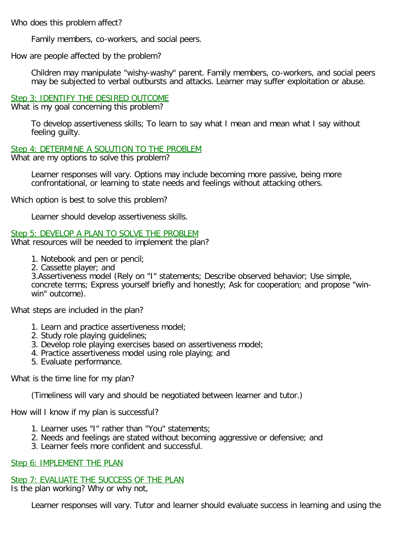Who does this problem affect?

Family members, co-workers, and social peers.

How are people affected by the problem?

Children may manipulate "wishy-washy" parent. Family members, co-workers, and social peers may be subjected to verbal outbursts and attacks. Learner may suffer exploitation or abuse.

#### Step 3: IDENTIFY THE DESIRED OUTCOME

What is my goal concerning this problem?

To develop assertiveness skills; To learn to say what I mean and mean what I say without feeling guilty.

Step 4: DETERMINE A SOLUTION TO THE PROBLEM

What are my options to solve this problem?

Learner responses will vary. Options may include becoming more passive, being more confrontational, or learning to state needs and feelings without attacking others.

Which option is best to solve this problem?

Learner should develop assertiveness skills.

Step 5: DEVELOP A PLAN TO SOLVE THE PROBLEM

What resources will be needed to implement the plan?

1. Notebook and pen or pencil;

2. Cassette player; and

3.Assertiveness model (Rely on "I" statements; Describe observed behavior; Use simple, concrete terms; Express yourself briefly and honestly; Ask for cooperation; and propose "winwin" outcome).

What steps are included in the plan?

- 1. Learn and practice assertiveness model;
- 2. Study role playing guidelines;
- 3. Develop role playing exercises based on assertiveness model;
- 4. Practice assertiveness model using role playing; and
- 5. Evaluate performance.

What is the time line for my plan?

(Timeliness will vary and should be negotiated between learner and tutor.)

How will I know if my plan is successful?

- 1. Learner uses "I" rather than "You" statements;
- 2. Needs and feelings are stated without becoming aggressive or defensive; and
- 3. Learner feels more confident and successful.

Step 6: IMPLEMENT THE PLAN

Step 7: EVALUATE THE SUCCESS OF THE PLAN

Is the plan working? Why or why not,

Learner responses will vary. Tutor and learner should evaluate success in learning and using the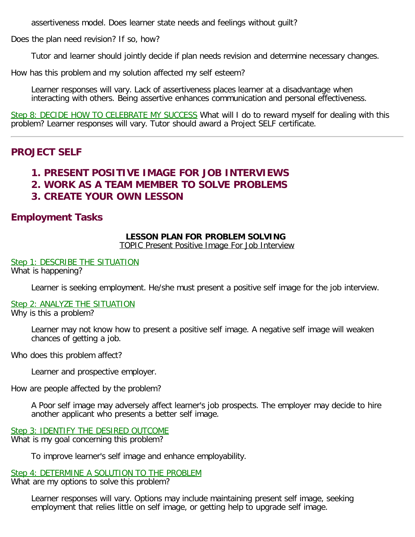<span id="page-12-0"></span>assertiveness model. Does learner state needs and feelings without guilt?

Does the plan need revision? If so, how?

Tutor and learner should jointly decide if plan needs revision and determine necessary changes.

How has this problem and my solution affected my self esteem?

Learner responses will vary. Lack of assertiveness places learner at a disadvantage when interacting with others. Being assertive enhances communication and personal effectiveness.

Step 8: DECIDE HOW TO CELEBRATE MY SUCCESS What will I do to reward myself for dealing with this problem? Learner responses will vary. Tutor should award a Project SELF certificate.

# **PROJECT SELF**

# **1. PRESENT POSITIVE IMAGE FOR JOB INTERVIEWS**

- **2. WORK AS A TEAM MEMBER TO SOLVE PROBLEMS**
- **3. CREATE YOUR OWN LESSON**

# **Employment Tasks**

## **LESSON PLAN FOR PROBLEM SOLVING**

TOPIC Present Positive Image For Job Interview

Step 1: DESCRIBE THE SITUATION What is happening?

Learner is seeking employment. He/she must present a positive self image for the job interview.

#### Step 2: ANALYZE THE SITUATION Why is this a problem?

Learner may not know how to present a positive self image. A negative self image will weaken chances of getting a job.

Who does this problem affect?

Learner and prospective employer.

How are people affected by the problem?

A Poor self image may adversely affect learner's job prospects. The employer may decide to hire another applicant who presents a better self image.

Step 3: IDENTIFY THE DESIRED OUTCOME What is my goal concerning this problem?

To improve learner's self image and enhance employability.

Step 4: DETERMINE A SOLUTION TO THE PROBLEM What are my options to solve this problem?

Learner responses will vary. Options may include maintaining present self image, seeking employment that relies little on self image, or getting help to upgrade self image.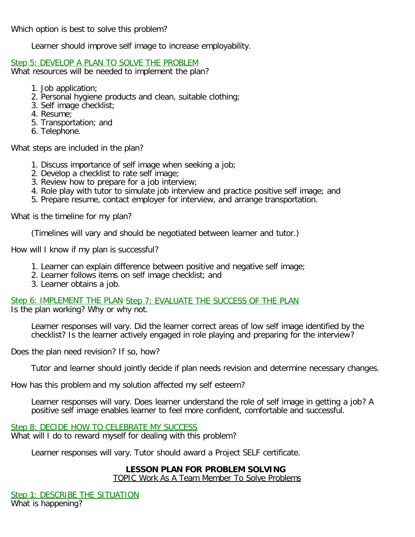Which option is best to solve this problem?

Learner should improve self image to increase employability.

#### Step 5: DEVELOP A PLAN TO SOLVE THE PROBLEM

What resources will be needed to implement the plan?

- 1. Job application;
- 2. Personal hygiene products and clean, suitable clothing;
- 3. Self image checklist;
- 4. Resume;
- 5. Transportation; and
- 6. Telephone.

What steps are included in the plan?

- 1. Discuss importance of self image when seeking a job;
- 2. Develop a checklist to rate self image;
- 3. Review how to prepare for a job interview;
- 4. Role play with tutor to simulate job interview and practice positive self image; and
- 5. Prepare resume, contact employer for interview, and arrange transportation.

What is the timeline for my plan?

(Timelines will vary and should be negotiated between learner and tutor.)

How will I know if my plan is successful?

- 1. Learner can explain difference between positive and negative self image;
- 2. Learner follows items on self image checklist; and
- 3. Learner obtains a job.

Step 6: IMPLEMENT THE PLAN Step 7: EVALUATE THE SUCCESS OF THE PLAN Is the plan working? Why or why not.

Learner responses will vary. Did the learner correct areas of low self image identified by the checklist? Is the learner actively engaged in role playing and preparing for the interview?

Does the plan need revision? If so, how?

Tutor and learner should jointly decide if plan needs revision and determine necessary changes.

How has this problem and my solution affected my self esteem?

Learner responses will vary. Does learner understand the role of self image in getting a job? A positive self image enables learner to feel more confident, comfortable and successful.

Step 8: DECIDE HOW TO CELEBRATE MY SUCCESS What will I do to reward myself for dealing with this problem?

Learner responses will vary. Tutor should award a Project SELF certificate.

## **LESSON PLAN FOR PROBLEM SOLVING**

TOPIC Work As A Team Member To Solve Problems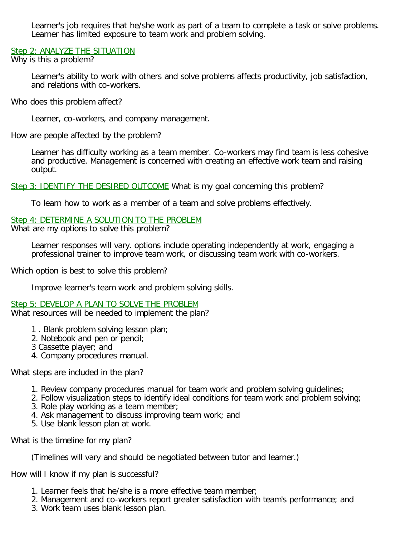Learner's job requires that he/she work as part of a team to complete a task or solve problems. Learner has limited exposure to team work and problem solving.

Step 2: ANALYZE THE SITUATION

Why is this a problem?

Learner's ability to work with others and solve problems affects productivity, job satisfaction, and relations with co-workers.

Who does this problem affect?

Learner, co-workers, and company management.

How are people affected by the problem?

Learner has difficulty working as a team member. Co-workers may find team is less cohesive and productive. Management is concerned with creating an effective work team and raising output.

Step 3: IDENTIFY THE DESIRED OUTCOME What is my goal concerning this problem?

To learn how to work as a member of a team and solve problems effectively.

#### Step 4: DETERMINE A SOLUTION TO THE PROBLEM

What are my options to solve this problem?

Learner responses will vary. options include operating independently at work, engaging a professional trainer to improve team work, or discussing team work with co-workers.

Which option is best to solve this problem?

Improve learner's team work and problem solving skills.

Step 5: DEVELOP A PLAN TO SOLVE THE PROBLEM What resources will be needed to implement the plan?

- 1 . Blank problem solving lesson plan;
- 2. Notebook and pen or pencil;
- 3 Cassette player; and
- 4. Company procedures manual.

What steps are included in the plan?

- 1. Review company procedures manual for team work and problem solving guidelines;
- 2. Follow visualization steps to identify ideal conditions for team work and problem solving;
- 3. Role play working as a team member;
- 4. Ask management to discuss improving team work; and
- 5. Use blank lesson plan at work.

What is the timeline for my plan?

(Timelines will vary and should be negotiated between tutor and learner.)

How will I know if my plan is successful?

- 1. Learner feels that he/she is a more effective team member;
- 2. Management and co-workers report greater satisfaction with team's performance; and
- 3. Work team uses blank lesson plan.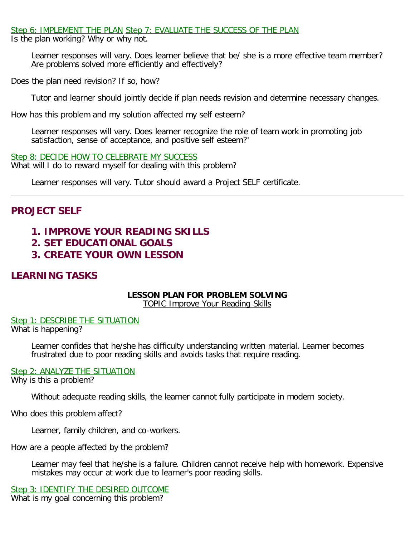#### <span id="page-15-0"></span>Step 6: IMPLEMENT THE PLAN Step 7: EVALUATE THE SUCCESS OF THE PLAN

Is the plan working? Why or why not.

Learner responses will vary. Does learner believe that be/ she is a more effective team member? Are problems solved more efficiently and effectively?

Does the plan need revision? If so, how?

Tutor and learner should jointly decide if plan needs revision and determine necessary changes.

How has this problem and my solution affected my self esteem?

Learner responses will vary. Does learner recognize the role of team work in promoting job satisfaction, sense of acceptance, and positive self esteem?'

Step 8: DECIDE HOW TO CELEBRATE MY SUCCESS What will I do to reward myself for dealing with this problem?

Learner responses will vary. Tutor should award a Project SELF certificate.

# **PROJECT SELF**

# **1. IMPROVE YOUR READING SKILLS**

- **2. SET EDUCATIONAL GOALS**
- **3. CREATE YOUR OWN LESSON**

# **LEARNING TASKS**

## **LESSON PLAN FOR PROBLEM SOLVING**

TOPIC Improve Your Reading Skills

Step 1: DESCRIBE THE SITUATION What is happening?

> Learner confides that he/she has difficulty understanding written material. Learner becomes frustrated due to poor reading skills and avoids tasks that require reading.

#### Step 2: ANALYZE THE SITUATION

Why is this a problem?

Without adequate reading skills, the learner cannot fully participate in modern society.

Who does this problem affect?

Learner, family children, and co-workers.

How are a people affected by the problem?

Learner may feel that he/she is a failure. Children cannot receive help with homework. Expensive mistakes may occur at work due to learner's poor reading skills.

Step 3: IDENTIFY THE DESIRED OUTCOME

What is my goal concerning this problem?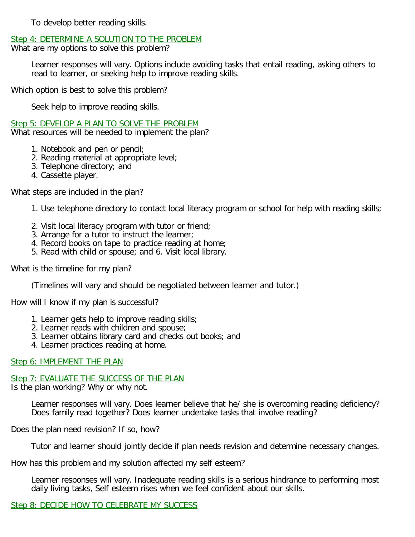To develop better reading skills.

### Step 4: DETERMINE A SOLUTION TO THE PROBLEM

What are my options to solve this problem?

Learner responses will vary. Options include avoiding tasks that entail reading, asking others to read to learner, or seeking help to improve reading skills.

Which option is best to solve this problem?

Seek help to improve reading skills.

Step 5: DEVELOP A PLAN TO SOLVE THE PROBLEM What resources will be needed to implement the plan?

- 1. Notebook and pen or pencil;
- 2. Reading material at appropriate level;
- 3. Telephone directory; and
- 4. Cassette player.

What steps are included in the plan?

- 1. Use telephone directory to contact local literacy program or school for help with reading skills;
- 2. Visit local literacy program with tutor or friend;
- 3. Arrange for a tutor to instruct the learner;
- 4. Record books on tape to practice reading at home;
- 5. Read with child or spouse; and 6. Visit local library.

What is the timeline for my plan?

(Timelines will vary and should be negotiated between learner and tutor.)

How will I know if my plan is successful?

- 1. Learner gets help to improve reading skills;
- 2. Learner reads with children and spouse;
- 3. Learner obtains library card and checks out books; and
- 4. Learner practices reading at home.

#### Step 6: IMPLEMENT THE PLAN

## Step 7: EVALUATE THE SUCCESS OF THE PLAN

Is the plan working? Why or why not.

Learner responses will vary. Does learner believe that he/ she is overcoming reading deficiency? Does family read together? Does learner undertake tasks that involve reading?

Does the plan need revision? If so, how?

Tutor and learner should jointly decide if plan needs revision and determine necessary changes.

How has this problem and my solution affected my self esteem?

Learner responses will vary. Inadequate reading skills is a serious hindrance to performing most daily living tasks, Self esteem rises when we feel confident about our skills.

## Step 8: DECIDE HOW TO CELEBRATE MY SUCCESS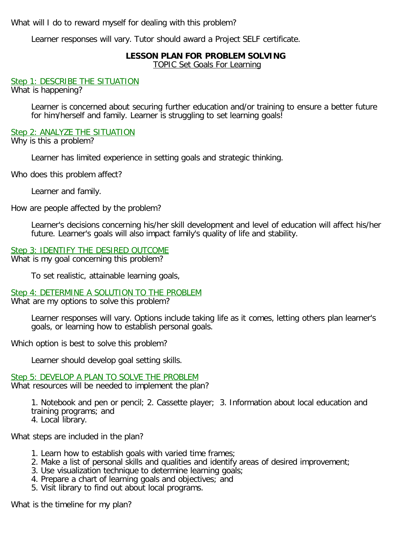What will I do to reward myself for dealing with this problem?

Learner responses will vary. Tutor should award a Project SELF certificate.

## **LESSON PLAN FOR PROBLEM SOLVING**

TOPIC Set Goals For Learning

Step 1: DESCRIBE THE SITUATION

What is happening?

Learner is concerned about securing further education and/or training to ensure a better future for him/herself and family. Learner is struggling to set learning goals!

#### Step 2: ANALYZE THE SITUATION

Why is this a problem?

Learner has limited experience in setting goals and strategic thinking.

Who does this problem affect?

Learner and family.

How are people affected by the problem?

Learner's decisions concerning his/her skill development and level of education will affect his/her future. Learner's goals will also impact family's quality of life and stability.

Step 3: IDENTIFY THE DESIRED OUTCOME What is my goal concerning this problem?

To set realistic, attainable learning goals,

# Step 4: DETERMINE A SOLUTION TO THE PROBLEM

What are my options to solve this problem?

Learner responses will vary. Options include taking life as it comes, letting others plan learner's goals, or learning how to establish personal goals.

Which option is best to solve this problem?

Learner should develop goal setting skills.

# Step 5: DEVELOP A PLAN TO SOLVE THE PROBLEM

What resources will be needed to implement the plan?

1. Notebook and pen or pencil; 2. Cassette player; 3. Information about local education and training programs; and

4. Local library.

What steps are included in the plan?

- 1. Learn how to establish goals with varied time frames;
- 2. Make a list of personal skills and qualities and identify areas of desired improvement;
- 3. Use visualization technique to determine learning goals;
- 4. Prepare a chart of learning goals and objectives; and
- 5. Visit library to find out about local programs.

What is the timeline for my plan?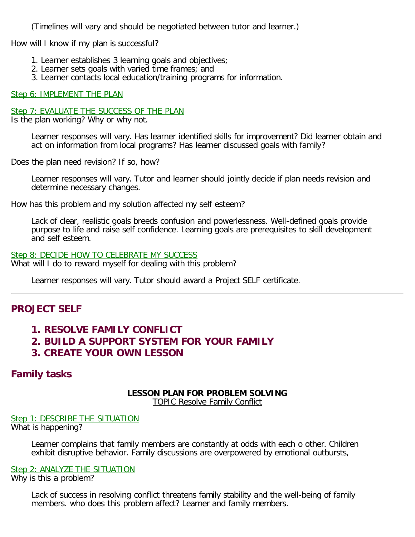<span id="page-18-0"></span>(Timelines will vary and should be negotiated between tutor and learner.)

How will I know if my plan is successful?

- 1. Learner establishes 3 learning goals and objectives;
- 2. Learner sets goals with varied time frames; and
- 3. Learner contacts local education/training programs for information.

#### Step 6: IMPLEMENT THE PLAN

#### Step 7: EVALUATE THE SUCCESS OF THE PLAN

Is the plan working? Why or why not.

Learner responses will vary. Has learner identified skills for improvement? Did learner obtain and act on information from local programs? Has learner discussed goals with family?

Does the plan need revision? If so, how?

Learner responses will vary. Tutor and learner should jointly decide if plan needs revision and determine necessary changes.

How has this problem and my solution affected my self esteem?

Lack of clear, realistic goals breeds confusion and powerlessness. Well-defined goals provide purpose to life and raise self confidence. Learning goals are prerequisites to skill development and self esteem.

#### Step 8: DECIDE HOW TO CELEBRATE MY SUCCESS What will I do to reward myself for dealing with this problem?

Learner responses will vary. Tutor should award a Project SELF certificate.

## **PROJECT SELF**

- **1. RESOLVE FAMILY CONFLICT**
- **2. BUILD A SUPPORT SYSTEM FOR YOUR FAMILY**
- **3. CREATE YOUR OWN LESSON**

# **Family tasks**

# **LESSON PLAN FOR PROBLEM SOLVING**

TOPIC Resolve Family Conflict

#### Step 1: DESCRIBE THE SITUATION What is happening?

Learner complains that family members are constantly at odds with each o other. Children exhibit disruptive behavior. Family discussions are overpowered by emotional outbursts,

#### Step 2: ANALYZE THE SITUATION

Why is this a problem?

Lack of success in resolving conflict threatens family stability and the well-being of family members. who does this problem affect? Learner and family members.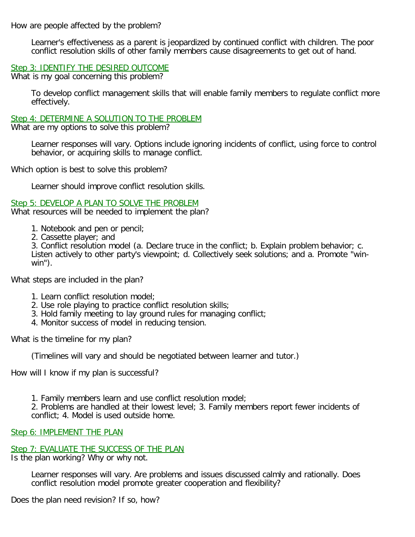How are people affected by the problem?

Learner's effectiveness as a parent is jeopardized by continued conflict with children. The poor conflict resolution skills of other family members cause disagreements to get out of hand.

#### Step 3: IDENTIFY THE DESIRED OUTCOME

What is my goal concerning this problem?

To develop conflict management skills that will enable family members to regulate conflict more effectively.

Step 4: DETERMINE A SOLUTION TO THE PROBLEM

What are my options to solve this problem?

Learner responses will vary. Options include ignoring incidents of conflict, using force to control behavior, or acquiring skills to manage conflict.

Which option is best to solve this problem?

Learner should improve conflict resolution skills.

Step 5: DEVELOP A PLAN TO SOLVE THE PROBLEM

What resources will be needed to implement the plan?

- 1. Notebook and pen or pencil;
- 2. Cassette player; and

3. Conflict resolution model (a. Declare truce in the conflict; b. Explain problem behavior; c. Listen actively to other party's viewpoint; d. Collectively seek solutions; and a. Promote "winwin").

What steps are included in the plan?

- 1. Learn conflict resolution model;
- 2. Use role playing to practice conflict resolution skills;
- 3. Hold family meeting to lay ground rules for managing conflict;
- 4. Monitor success of model in reducing tension.

What is the timeline for my plan?

(Timelines will vary and should be negotiated between learner and tutor.)

How will I know if my plan is successful?

1. Family members learn and use conflict resolution model;

2. Problems are handled at their lowest level; 3. Family members report fewer incidents of conflict; 4. Model is used outside home.

#### Step 6: IMPLEMENT THE PLAN

## Step 7: EVALUATE THE SUCCESS OF THE PLAN

Is the plan working? Why or why not.

Learner responses will vary. Are problems and issues discussed calmly and rationally. Does conflict resolution model promote greater cooperation and flexibility?

Does the plan need revision? If so, how?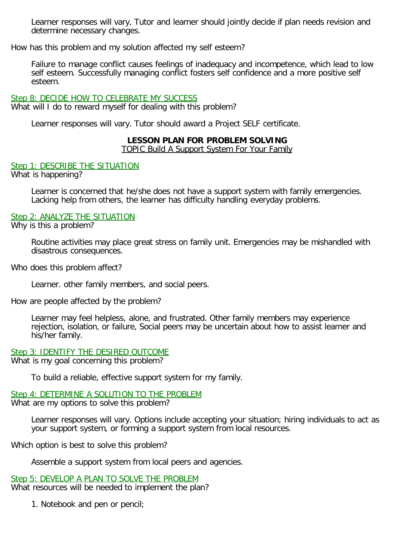Learner responses will vary, Tutor and learner should jointly decide if plan needs revision and determine necessary changes.

How has this problem and my solution affected my self esteem?

Failure to manage conflict causes feelings of inadequacy and incompetence, which lead to low self esteem. Successfully managing conflict fosters self confidence and a more positive self esteem.

#### Step 8: DECIDE HOW TO CELEBRATE MY SUCCESS

What will I do to reward myself for dealing with this problem?

Learner responses will vary. Tutor should award a Project SELF certificate.

#### **LESSON PLAN FOR PROBLEM SOLVING**

TOPIC Build A Support System For Your Family

#### Step 1: DESCRIBE THE SITUATION

What is happening?

Learner is concerned that he/she does not have a support system with family emergencies. Lacking help from others, the learner has difficulty handling everyday problems.

#### Step 2: ANALYZE THE SITUATION

Why is this a problem?

Routine activities may place great stress on family unit. Emergencies may be mishandled with disastrous consequences.

Who does this problem affect?

Learner. other family members, and social peers.

How are people affected by the problem?

Learner may feel helpless, alone, and frustrated. Other family members may experience rejection, isolation, or failure, Social peers may be uncertain about how to assist learner and his/her family.

Step 3: IDENTIFY THE DESIRED OUTCOME What is my goal concerning this problem?

To build a reliable, effective support system for my family.

#### Step 4: DETERMINE A SOLUTION TO THE PROBLEM

What are my options to solve this problem?

Learner responses will vary. Options include accepting your situation; hiring individuals to act as your support system, or forming a support system from local resources.

Which option is best to solve this problem?

Assemble a support system from local peers and agencies.

Step 5: DEVELOP A PLAN TO SOLVE THE PROBLEM What resources will be needed to implement the plan?

1. Notebook and pen or pencil;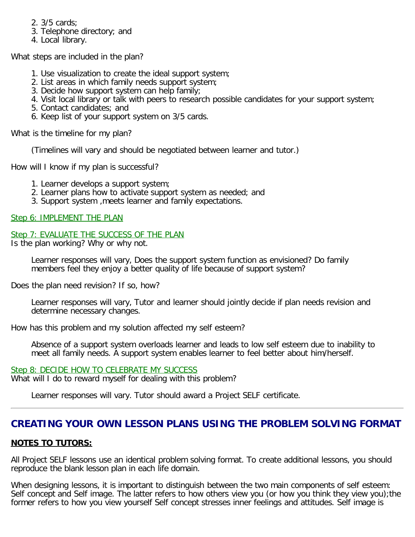- <span id="page-21-0"></span>2. 3/5 cards;
- 3. Telephone directory; and
- 4. Local library.

What steps are included in the plan?

- 1. Use visualization to create the ideal support system;
- 2. List areas in which family needs support system;
- 3. Decide how support system can help family;
- 4. Visit local library or talk with peers to research possible candidates for your support system;
- 5. Contact candidates; and
- 6. Keep list of your support system on 3/5 cards.

What is the timeline for my plan?

(Timelines will vary and should be negotiated between learner and tutor.)

How will I know if my plan is successful?

- 1. Learner develops a support system;
- 2. Learner plans how to activate support system as needed; and
- 3. Support system ,meets learner and family expectations.

Step 6: IMPLEMENT THE PLAN

#### Step 7: EVALUATE THE SUCCESS OF THE PLAN

Is the plan working? Why or why not.

Learner responses will vary, Does the support system function as envisioned? Do family members feel they enjoy a better quality of life because of support system?

Does the plan need revision? If so, how?

Learner responses will vary, Tutor and learner should jointly decide if plan needs revision and determine necessary changes.

How has this problem and my solution affected my self esteem?

Absence of a support system overloads learner and leads to low self esteem due to inability to meet all family needs. A support system enables learner to feel better about him/herself.

#### Step 8: DECIDE HOW TO CELEBRATE MY SUCCESS What will I do to reward myself for dealing with this problem?

Learner responses will vary. Tutor should award a Project SELF certificate.

# **CREATING YOUR OWN LESSON PLANS USING THE PROBLEM SOLVING FORMAT**

## **NOTES TO TUTORS:**

All Project SELF lessons use an identical problem solving format. To create additional lessons, you should reproduce the blank lesson plan in each life domain.

When designing lessons, it is important to distinguish between the two main components of self esteem: Self concept and Self image. The latter refers to how others view you (or how you think they view you);the former refers to how you view yourself Self concept stresses inner feelings and attitudes. Self image is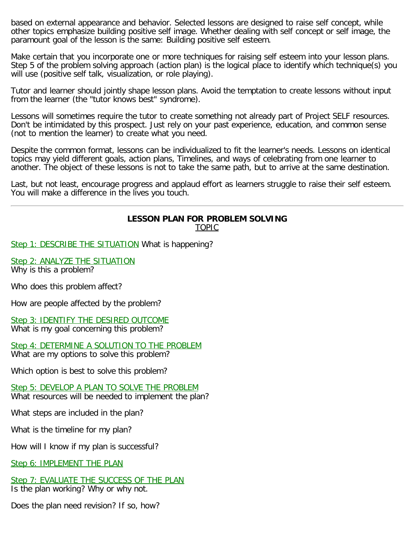based on external appearance and behavior. Selected lessons are designed to raise self concept, while other topics emphasize building positive self image. Whether dealing with self concept or self image, the paramount goal of the lesson is the same: Building positive self esteem.

Make certain that you incorporate one or more techniques for raising self esteem into your lesson plans. Step 5 of the problem solving approach (action plan) is the logical place to identify which technique(s) you will use (positive self talk, visualization, or role playing).

Tutor and learner should jointly shape lesson plans. Avoid the temptation to create lessons without input from the learner (the "tutor knows best" syndrome).

Lessons will sometimes require the tutor to create something not already part of Project SELF resources. Don't be intimidated by this prospect. Just rely on your past experience, education, and common sense (not to mention the learner) to create what you need.

Despite the common format, lessons can be individualized to fit the learner's needs. Lessons on identical topics may yield different goals, action plans, Timelines, and ways of celebrating from one learner to another. The object of these lessons is not to take the same path, but to arrive at the same destination.

Last, but not least, encourage progress and applaud effort as learners struggle to raise their self esteem. You will make a difference in the lives you touch.

# **LESSON PLAN FOR PROBLEM SOLVING**

TOPIC

Step 1: DESCRIBE THE SITUATION What is happening?

Step 2: ANALYZE THE SITUATION Why is this a problem?

Who does this problem affect?

How are people affected by the problem?

Step 3: IDENTIFY THE DESIRED OUTCOME What is my goal concerning this problem?

Step 4: DETERMINE A SOLUTION TO THE PROBLEM What are my options to solve this problem?

Which option is best to solve this problem?

Step 5: DEVELOP A PLAN TO SOLVE THE PROBLEM What resources will be needed to implement the plan?

What steps are included in the plan?

What is the timeline for my plan?

How will I know if my plan is successful?

Step 6: IMPLEMENT THE PLAN

Step 7: EVALUATE THE SUCCESS OF THE PLAN

Is the plan working? Why or why not.

Does the plan need revision? If so, how?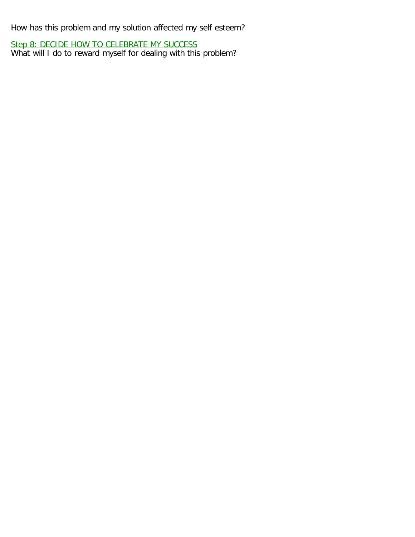How has this problem and my solution affected my self esteem?

Step 8: DECIDE HOW TO CELEBRATE MY SUCCESS What will I do to reward myself for dealing with this problem?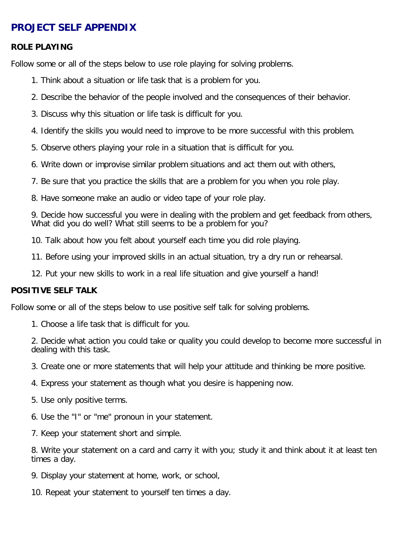# <span id="page-24-1"></span><span id="page-24-0"></span>**PROJECT SELF APPENDIX**

#### **ROLE PLAYING**

Follow some or all of the steps below to use role playing for solving problems.

- 1. Think about a situation or life task that is a problem for you.
- 2. Describe the behavior of the people involved and the consequences of their behavior.
- 3. Discuss why this situation or life task is difficult for you.
- 4. Identify the skills you would need to improve to be more successful with this problem.
- 5. Observe others playing your role in a situation that is difficult for you.
- 6. Write down or improvise similar problem situations and act them out with others,
- 7. Be sure that you practice the skills that are a problem for you when you role play.
- 8. Have someone make an audio or video tape of your role play.

9. Decide how successful you were in dealing with the problem and get feedback from others, What did you do well? What still seems to be a problem for you?

10. Talk about how you felt about yourself each time you did role playing.

- 11. Before using your improved skills in an actual situation, try a dry run or rehearsal.
- 12. Put your new skills to work in a real life situation and give yourself a hand!

#### **POSITIVE SELF TALK**

Follow some or all of the steps below to use positive self talk for solving problems.

1. Choose a life task that is difficult for you.

2. Decide what action you could take or quality you could develop to become more successful in dealing with this task.

- 3. Create one or more statements that will help your attitude and thinking be more positive.
- 4. Express your statement as though what you desire is happening now.
- 5. Use only positive terms.
- 6. Use the "I" or "me" pronoun in your statement.
- 7. Keep your statement short and simple.

8. Write your statement on a card and carry it with you; study it and think about it at least ten times a day.

- 9. Display your statement at home, work, or school,
- 10. Repeat your statement to yourself ten times a day.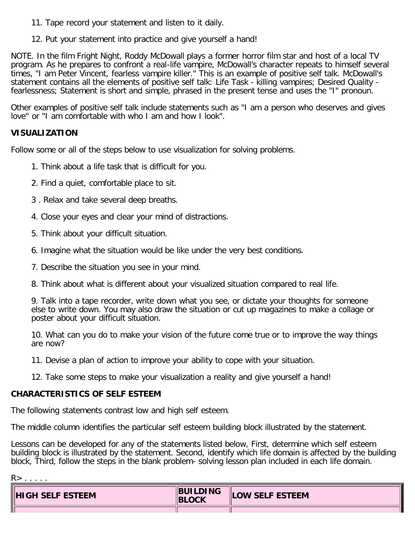- <span id="page-25-0"></span>11. Tape record your statement and listen to it daily.
- 12. Put your statement into practice and give yourself a hand!

NOTE. In the film Fright Night, Roddy McDowall plays a former horror film star and host of a local TV program. As he prepares to confront a real-life vampire, McDowall's character repeats to himself several times, "I am Peter Vincent, fearless vampire killer." This is an example of positive self talk. McDowall's statement contains all the elements of positive self talk: Life Task - killing vampires; Desired Quality fearlessness; Statement is short and simple, phrased in the present tense and uses the "I" pronoun.

Other examples of positive self talk include statements such as "I am a person who deserves and gives love" or "I am comfortable with who I am and how I look".

#### **VISUALIZATION**

Follow some or all of the steps below to use visualization for solving problems.

- 1. Think about a life task that is difficult for you.
- 2. Find a quiet, comfortable place to sit.
- 3 . Relax and take several deep breaths.
- 4. Close your eyes and clear your mind of distractions.
- 5. Think about your difficult situation.
- 6. Imagine what the situation would be like under the very best conditions.
- 7. Describe the situation you see in your mind.
- 8. Think about what is different about your visualized situation compared to real life.

9. Talk into a tape recorder, write down what you see, or dictate your thoughts for someone else to write down. You may also draw the situation or cut up magazines to make a collage or poster about your difficult situation.

10. What can you do to make your vision of the future come true or to improve the way things are now?

- 11. Devise a plan of action to improve your ability to cope with your situation.
- 12. Take some steps to make your visualization a reality and give yourself a hand!

#### **CHARACTERISTICS OF SELF ESTEEM**

The following statements contrast low and high self esteem.

The middle column identifies the particular self esteem building block illustrated by the statement.

Lessons can be developed for any of the statements listed below, First, determine which self esteem building block is illustrated by the statement. Second, identify which life domain is affected by the building block, Third, follow the steps in the blank problem- solving lesson plan included in each life domain.

| ×. |  |
|----|--|
|----|--|

| <b>HIGH SELF ESTEEM</b> | <b>BUILDING</b><br><b>IBLOCK</b> | <b>LOW SELF ESTEEM</b> |
|-------------------------|----------------------------------|------------------------|
|                         |                                  |                        |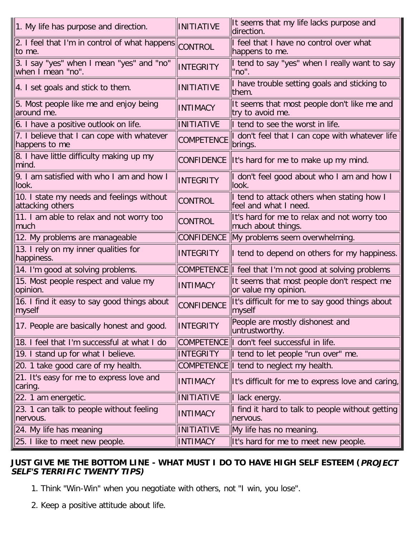<span id="page-26-0"></span>

| 1. My life has purpose and direction.                          | <b>INITIATIVE</b> | It seems that my life lacks purpose and<br>direction.               |
|----------------------------------------------------------------|-------------------|---------------------------------------------------------------------|
| 2. I feel that I'm in control of what happens<br>lto me.       | <b>CONTROL</b>    | I feel that I have no control over what<br>happens to me.           |
| 3. I say "yes" when I mean "yes" and "no"<br>when I mean "no". | <b>INTEGRITY</b>  | I tend to say "yes" when I really want to say<br>"no".              |
| 4. I set goals and stick to them.                              | <b>INITIATIVE</b> | I have trouble setting goals and sticking to<br>them.               |
| 5. Most people like me and enjoy being<br>around me.           | <b>INTIMACY</b>   | It seems that most people don't like me and<br>try to avoid me.     |
| 6. I have a positive outlook on life.                          | <b>INITIATIVE</b> | If tend to see the worst in life.                                   |
| 7. I believe that I can cope with whatever<br>happens to me    | <b>COMPETENCE</b> | I don't feel that I can cope with whatever life<br>brings.          |
| 8. I have little difficulty making up my<br>lmind.             |                   | CONFIDENCE  It's hard for me to make up my mind.                    |
| 9. I am satisfied with who I am and how I<br>llook.            | <b>INTEGRITY</b>  | I don't feel good about who I am and how I<br>llook.                |
| 10. I state my needs and feelings without<br>attacking others  | <b>CONTROL</b>    | I tend to attack others when stating how I<br>feel and what I need. |
| 11. I am able to relax and not worry too<br> much              | <b>CONTROL</b>    | It's hard for me to relax and not worry too<br>much about things.   |
| 12. My problems are manageable                                 | <b>CONFIDENCE</b> | My problems seem overwhelming.                                      |
| 13. I rely on my inner qualities for<br>happiness.             | <b>INTEGRITY</b>  | I tend to depend on others for my happiness.                        |
| 14. I'm good at solving problems.                              |                   | COMPETENCE I feel that I'm not good at solving problems             |
| 15. Most people respect and value my<br>opinion.               | <b>INTIMACY</b>   | It seems that most people don't respect me<br>or value my opinion.  |
| 16. I find it easy to say good things about<br> myself         | <b>CONFIDENCE</b> | It's difficult for me to say good things about<br> myself           |
| 17. People are basically honest and good.                      | INTEGRITY         | People are mostly dishonest and<br>untrustworthy.                   |
| 18. I feel that I'm successful at what I do                    |                   | COMPETENCE I don't feel successful in life.                         |
| 19. I stand up for what I believe.                             | <b>INTEGRITY</b>  | I tend to let people "run over" me.                                 |
| 20. 1 take good care of my health.                             |                   | COMPETENCE  I tend to neglect my health.                            |
| 21. It's easy for me to express love and<br>caring.            | <b>INTIMACY</b>   | It's difficult for me to express love and caring,                   |
|                                                                |                   |                                                                     |
| 22. 1 am energetic.                                            | <b>INITIATIVE</b> | I lack energy.                                                      |
| 23. 1 can talk to people without feeling<br>nervous.           | <b>INTIMACY</b>   | I find it hard to talk to people without getting<br>nervous.        |
| 24. My life has meaning                                        | <b>INITIATIVE</b> | My life has no meaning.                                             |

### **JUST GIVE ME THE BOTTOM LINE - WHAT MUST I DO TO HAVE HIGH SELF ESTEEM (PROJECT SELF'S TERRIFIC TWENTY TIPS)**

- 1. Think "Win-Win" when you negotiate with others, not "I win, you lose".
- 2. Keep a positive attitude about life.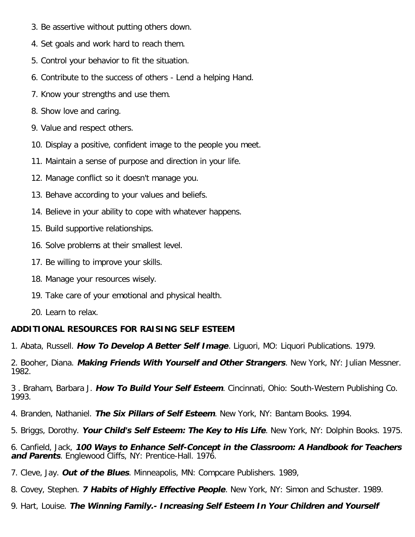- <span id="page-27-0"></span>3. Be assertive without putting others down.
- 4. Set goals and work hard to reach them.
- 5. Control your behavior to fit the situation.
- 6. Contribute to the success of others Lend a helping Hand.
- 7. Know your strengths and use them.
- 8. Show love and caring.
- 9. Value and respect others.
- 10. Display a positive, confident image to the people you meet.
- 11. Maintain a sense of purpose and direction in your life.
- 12. Manage conflict so it doesn't manage you.
- 13. Behave according to your values and beliefs.
- 14. Believe in your ability to cope with whatever happens.
- 15. Build supportive relationships.
- 16. Solve problems at their smallest level.
- 17. Be willing to improve your skills.
- 18. Manage your resources wisely.
- 19. Take care of your emotional and physical health.
- 20. Learn to relax.

## **ADDITIONAL RESOURCES FOR RAISING SELF ESTEEM**

1. Abata, Russell. **How To Develop A Better Self Image**. Liguori, MO: Liquori Publications. 1979.

2. Booher, Diana. **Making Friends With Yourself and Other Strangers**. New York, NY: Julian Messner. 1982.

3 . Braham, Barbara J. **How To Build Your Self Esteem**. Cincinnati, Ohio: South-Western Publishing Co. 1993.

- 4. Branden, Nathaniel. **The Six Pillars of Self Esteem**. New York, NY: Bantam Books. 1994.
- 5. Briggs, Dorothy. **Your Child's Self Esteem: The Key to His Life**. New York, NY: Dolphin Books. 1975.

6. Canfield, Jack, **100 Ways to Enhance Self-Concept in the Classroom: A Handbook for Teachers and Parents**. Englewood Cliffs, NY: Prentice-Hall. 1976.

- 7. Cleve, Jay. **Out of the Blues**. Minneapolis, MN: Compcare Publishers. 1989,
- 8. Covey, Stephen. **7 Habits of Highly Effective People**. New York, NY: Simon and Schuster. 1989.

9. Hart, Louise. **The Winning Family.- Increasing Self Esteem In Your Children and Yourself**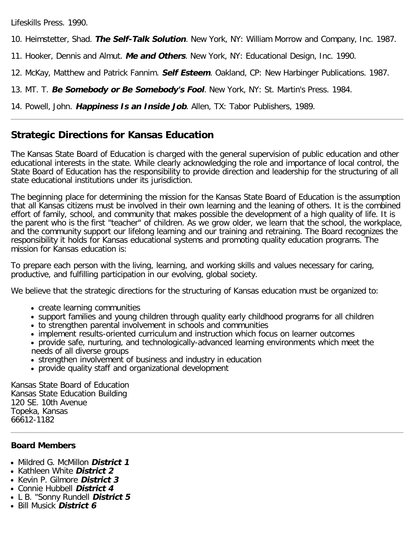Lifeskills Press. 1990.

10. Heimstetter, Shad. **The Self-Talk Solution**. New York, NY: William Morrow and Company, Inc. 1987.

11. Hooker, Dennis and Almut. **Me and Others**. New York, NY: Educational Design, Inc. 1990.

12. McKay, Matthew and Patrick Fannim. **Self Esteem**. Oakland, CP: New Harbinger Publications. 1987.

13. MT. T. **Be Somebody or Be Somebody's Fool**. New York, NY: St. Martin's Press. 1984.

14. Powell, John. **Happiness Is an Inside Job**. Allen, TX: Tabor Publishers, 1989.

# **Strategic Directions for Kansas Education**

The Kansas State Board of Education is charged with the general supervision of public education and other educational interests in the state. While clearly acknowledging the role and importance of local control, the State Board of Education has the responsibility to provide direction and leadership for the structuring of all state educational institutions under its jurisdiction.

The beginning place for determining the mission for the Kansas State Board of Education is the assumption that all Kansas citizens must be involved in their own learning and the leaning of others. It is the combined effort of family, school, and community that makes possible the development of a high quality of life. It is the parent who is the first "teacher" of children. As we grow older, we learn that the school, the workplace, and the community support our lifelong learning and our training and retraining. The Board recognizes the responsibility it holds for Kansas educational systems and promoting quality education programs. The mission for Kansas education is:

To prepare each person with the living, learning, and working skills and values necessary for caring, productive, and fulfilling participation in our evolving, global society.

We believe that the strategic directions for the structuring of Kansas education must be organized to:

- create learning communities
- support families and young children through quality early childhood programs for all children
- to strengthen parental involvement in schools and communities
- implement results-oriented curriculum and instruction which focus on learner outcomes
- provide safe, nurturing, and technologically-advanced learning environments which meet the needs of all diverse groups
- strengthen involvement of business and industry in education
- provide quality staff and organizational development

Kansas State Board of Education Kansas State Education Building 120 SE. 10th Avenue Topeka, Kansas 66612-1182

## **Board Members**

- Mildred G. McMillon **District 1**
- Kathleen White **District 2**
- Kevin P. Gilmore **District 3**
- Connie Hubbell **District 4**
- L B. "Sonny Rundell **District 5**
- Bill Musick **District 6**